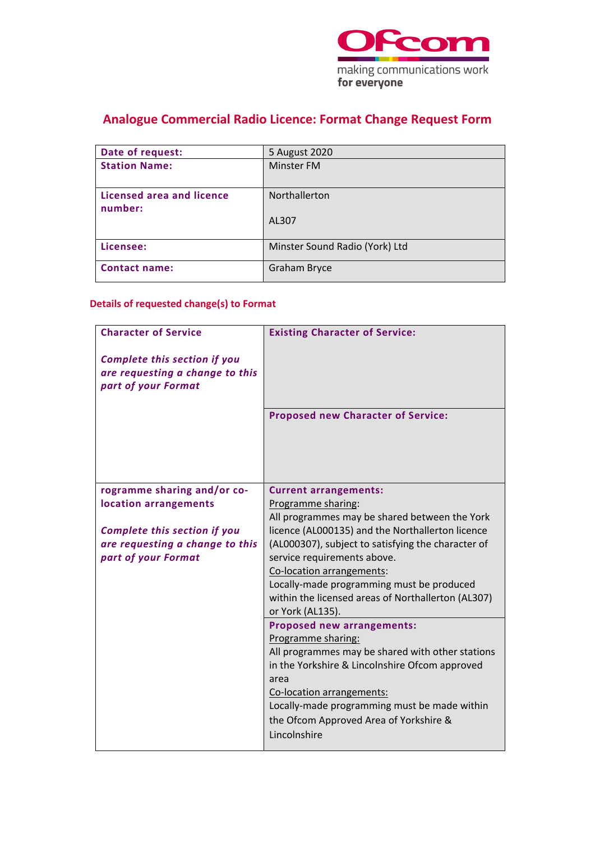

## **Analogue Commercial Radio Licence: Format Change Request Form**

| Date of request:                     | 5 August 2020                  |
|--------------------------------------|--------------------------------|
| <b>Station Name:</b>                 | <b>Minster FM</b>              |
| Licensed area and licence<br>number: | Northallerton                  |
|                                      | AL307                          |
| Licensee:                            | Minster Sound Radio (York) Ltd |
| <b>Contact name:</b>                 | <b>Graham Bryce</b>            |

### **Details of requested change(s) to Format**

| <b>Character of Service</b>         | <b>Existing Character of Service:</b>              |
|-------------------------------------|----------------------------------------------------|
| <b>Complete this section if you</b> |                                                    |
| are requesting a change to this     |                                                    |
| part of your Format                 |                                                    |
|                                     |                                                    |
|                                     | <b>Proposed new Character of Service:</b>          |
|                                     |                                                    |
|                                     |                                                    |
|                                     |                                                    |
|                                     |                                                    |
| rogramme sharing and/or co-         | <b>Current arrangements:</b>                       |
| location arrangements               | Programme sharing:                                 |
|                                     | All programmes may be shared between the York      |
| <b>Complete this section if you</b> | licence (AL000135) and the Northallerton licence   |
| are requesting a change to this     | (AL000307), subject to satisfying the character of |
| part of your Format                 | service requirements above.                        |
|                                     | Co-location arrangements:                          |
|                                     | Locally-made programming must be produced          |
|                                     | within the licensed areas of Northallerton (AL307) |
|                                     | or York (AL135).                                   |
|                                     | <b>Proposed new arrangements:</b>                  |
|                                     | Programme sharing:                                 |
|                                     | All programmes may be shared with other stations   |
|                                     | in the Yorkshire & Lincolnshire Ofcom approved     |
|                                     | area                                               |
|                                     | Co-location arrangements:                          |
|                                     | Locally-made programming must be made within       |
|                                     | the Ofcom Approved Area of Yorkshire &             |
|                                     | Lincolnshire                                       |
|                                     |                                                    |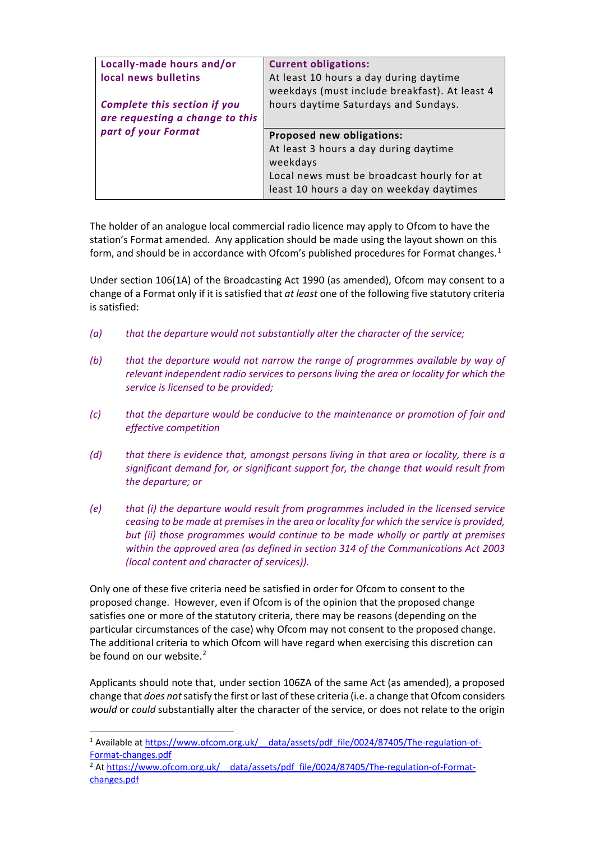| Locally-made hours and/or<br>local news bulletins<br><b>Complete this section if you</b><br>are requesting a change to this<br>part of your Format | <b>Current obligations:</b><br>At least 10 hours a day during daytime<br>weekdays (must include breakfast). At least 4<br>hours daytime Saturdays and Sundays.           |
|----------------------------------------------------------------------------------------------------------------------------------------------------|--------------------------------------------------------------------------------------------------------------------------------------------------------------------------|
|                                                                                                                                                    | Proposed new obligations:<br>At least 3 hours a day during daytime<br>weekdays<br>Local news must be broadcast hourly for at<br>least 10 hours a day on weekday daytimes |

The holder of an analogue local commercial radio licence may apply to Ofcom to have the station's Format amended. Any application should be made using the layout shown on this form, and should be in accordance with Ofcom's published procedures for Format changes.<sup>[1](#page-1-0)</sup>

Under section 106(1A) of the Broadcasting Act 1990 (as amended), Ofcom may consent to a change of a Format only if it is satisfied that *at least* one of the following five statutory criteria is satisfied:

- *(a) that the departure would not substantially alter the character of the service;*
- *(b) that the departure would not narrow the range of programmes available by way of relevant independent radio services to persons living the area or locality for which the service is licensed to be provided;*
- *(c) that the departure would be conducive to the maintenance or promotion of fair and effective competition*
- *(d) that there is evidence that, amongst persons living in that area or locality, there is a significant demand for, or significant support for, the change that would result from the departure; or*
- *(e) that (i) the departure would result from programmes included in the licensed service ceasing to be made at premises in the area or locality for which the service is provided, but (ii) those programmes would continue to be made wholly or partly at premises within the approved area (as defined in section 314 of the Communications Act 2003 (local content and character of services)).*

Only one of these five criteria need be satisfied in order for Ofcom to consent to the proposed change. However, even if Ofcom is of the opinion that the proposed change satisfies one or more of the statutory criteria, there may be reasons (depending on the particular circumstances of the case) why Ofcom may not consent to the proposed change. The additional criteria to which Ofcom will have regard when exercising this discretion can be found on our website.<sup>[2](#page-1-1)</sup>

Applicants should note that, under section 106ZA of the same Act (as amended), a proposed change that *does not*satisfy the first or last of these criteria (i.e. a change that Ofcom considers *would* or *could* substantially alter the character of the service, or does not relate to the origin

<span id="page-1-0"></span><sup>&</sup>lt;sup>1</sup> Available at https://www.ofcom.org.uk/ data/assets/pdf file/0024/87405/The-regulation-of-[Format-changes.pdf](https://www.ofcom.org.uk/__data/assets/pdf_file/0024/87405/The-regulation-of-Format-changes.pdf) 2

<span id="page-1-1"></span><sup>&</sup>lt;sup>2</sup> At https://www.ofcom.org.uk/ data/assets/pdf\_file/0024/87405/The-regulation-of-Format[changes.pdf](https://www.ofcom.org.uk/__data/assets/pdf_file/0024/87405/The-regulation-of-Format-changes.pdf)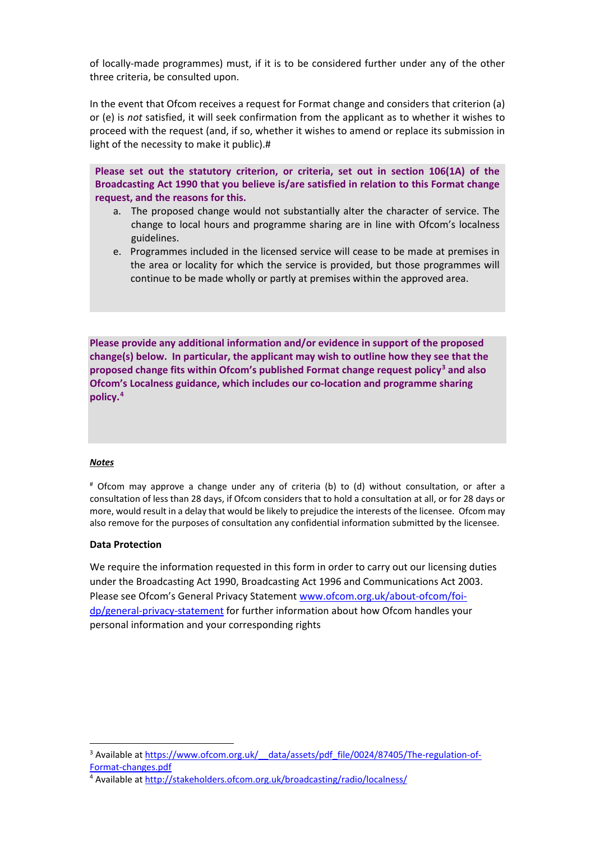of locally-made programmes) must, if it is to be considered further under any of the other three criteria, be consulted upon.

In the event that Ofcom receives a request for Format change and considers that criterion (a) or (e) is *not* satisfied, it will seek confirmation from the applicant as to whether it wishes to proceed with the request (and, if so, whether it wishes to amend or replace its submission in light of the necessity to make it public).#

**Please set out the statutory criterion, or criteria, set out in section 106(1A) of the Broadcasting Act 1990 that you believe is/are satisfied in relation to this Format change request, and the reasons for this.** 

- a. The proposed change would not substantially alter the character of service. The change to local hours and programme sharing are in line with Ofcom's localness guidelines.
- e. Programmes included in the licensed service will cease to be made at premises in the area or locality for which the service is provided, but those programmes will continue to be made wholly or partly at premises within the approved area.

**Please provide any additional information and/or evidence in support of the proposed change(s) below. In particular, the applicant may wish to outline how they see that the proposed change fits within Ofcom's published Format change request policy[3](#page-2-0) and also Ofcom's Localness guidance, which includes our co-location and programme sharing policy.[4](#page-2-1)** 

#### *Notes*

# Ofcom may approve a change under any of criteria (b) to (d) without consultation, or after a consultation of less than 28 days, if Ofcom considers that to hold a consultation at all, or for 28 days or more, would result in a delay that would be likely to prejudice the interests of the licensee. Ofcom may also remove for the purposes of consultation any confidential information submitted by the licensee.

### **Data Protection**

We require the information requested in this form in order to carry out our licensing duties under the Broadcasting Act 1990, Broadcasting Act 1996 and Communications Act 2003. Please see Ofcom's General Privacy Statement [www.ofcom.org.uk/about-ofcom/foi](http://www.ofcom.org.uk/about-ofcom/foi-dp/general-privacy-statement)[dp/general-privacy-statement](http://www.ofcom.org.uk/about-ofcom/foi-dp/general-privacy-statement) for further information about how Ofcom handles your personal information and your corresponding rights

<span id="page-2-0"></span><sup>&</sup>lt;sup>3</sup> Available at https://www.ofcom.org.uk/ data/assets/pdf\_file/0024/87405/The-regulation-ofFormat-changes.pdf<br><sup>4</sup> Available at<http://stakeholders.ofcom.org.uk/broadcasting/radio/localness/>

<span id="page-2-1"></span>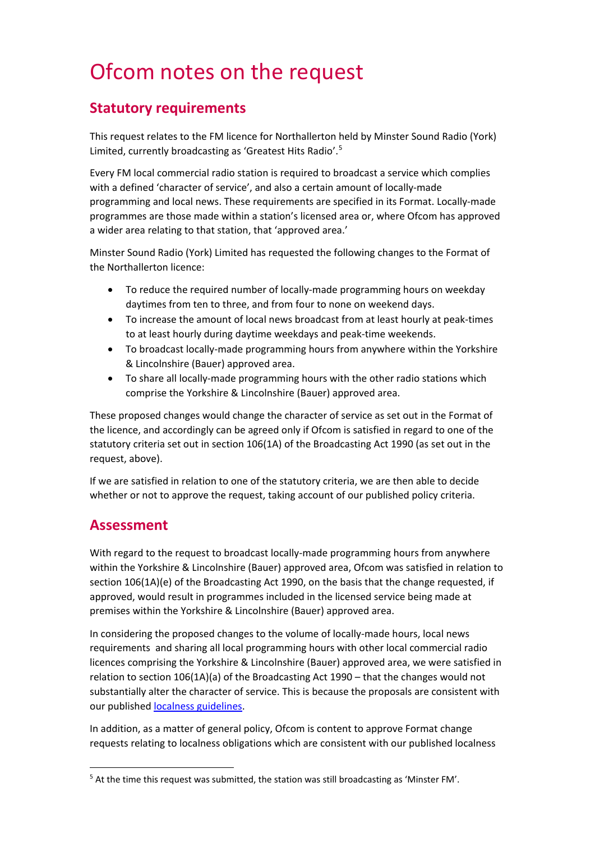# Ofcom notes on the request

## **Statutory requirements**

This request relates to the FM licence for Northallerton held by Minster Sound Radio (York) Limited, currently broadcasting as 'Greatest Hits Radio'.[5](#page-3-0)

Every FM local commercial radio station is required to broadcast a service which complies with a defined 'character of service', and also a certain amount of locally-made programming and local news. These requirements are specified in its Format. Locally-made programmes are those made within a station's licensed area or, where Ofcom has approved a wider area relating to that station, that 'approved area.'

Minster Sound Radio (York) Limited has requested the following changes to the Format of the Northallerton licence:

- To reduce the required number of locally-made programming hours on weekday daytimes from ten to three, and from four to none on weekend days.
- To increase the amount of local news broadcast from at least hourly at peak-times to at least hourly during daytime weekdays and peak-time weekends.
- To broadcast locally-made programming hours from anywhere within the Yorkshire & Lincolnshire (Bauer) approved area.
- To share all locally-made programming hours with the other radio stations which comprise the Yorkshire & Lincolnshire (Bauer) approved area.

These proposed changes would change the character of service as set out in the Format of the licence, and accordingly can be agreed only if Ofcom is satisfied in regard to one of the statutory criteria set out in section 106(1A) of the Broadcasting Act 1990 (as set out in the request, above).

If we are satisfied in relation to one of the statutory criteria, we are then able to decide whether or not to approve the request, taking account of our published policy criteria.

### **Assessment**

With regard to the request to broadcast locally-made programming hours from anywhere within the Yorkshire & Lincolnshire (Bauer) approved area, Ofcom was satisfied in relation to section 106(1A)(e) of the Broadcasting Act 1990, on the basis that the change requested, if approved, would result in programmes included in the licensed service being made at premises within the Yorkshire & Lincolnshire (Bauer) approved area.

In considering the proposed changes to the volume of locally-made hours, local news requirements and sharing all local programming hours with other local commercial radio licences comprising the Yorkshire & Lincolnshire (Bauer) approved area, we were satisfied in relation to section 106(1A)(a) of the Broadcasting Act 1990 – that the changes would not substantially alter the character of service. This is because the proposals are consistent with our published [localness guidelines.](https://www.ofcom.org.uk/tv-radio-and-on-demand/information-for-industry/radio-broadcasters/localness)

In addition, as a matter of general policy, Ofcom is content to approve Format change requests relating to localness obligations which are consistent with our published localness

<span id="page-3-0"></span><sup>5</sup> At the time this request was submitted, the station was still broadcasting as 'Minster FM'.